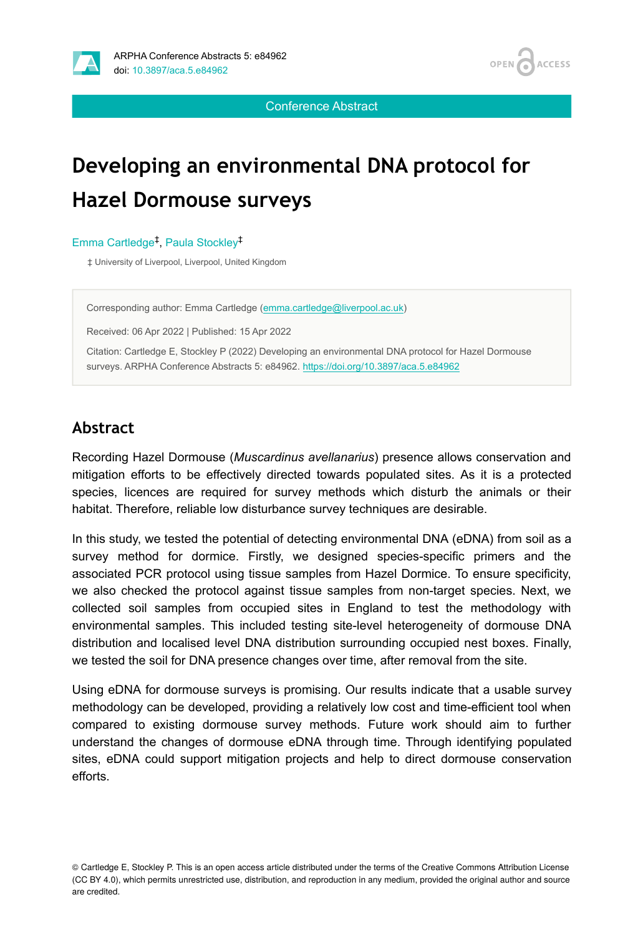



Conference Abstract

# **Developing an environmental DNA protocol for Hazel Dormouse surveys**

#### Emma Cartledge<sup>‡</sup>, Paula Stockley<sup>‡</sup>

‡ University of Liverpool, Liverpool, United Kingdom

Corresponding author: Emma Cartledge [\(emma.cartledge@liverpool.ac.uk](mailto:emma.cartledge@liverpool.ac.uk))

Received: 06 Apr 2022 | Published: 15 Apr 2022

Citation: Cartledge E, Stockley P (2022) Developing an environmental DNA protocol for Hazel Dormouse surveys. ARPHA Conference Abstracts 5: e84962.<https://doi.org/10.3897/aca.5.e84962>

#### **Abstract**

Recording Hazel Dormouse (*Muscardinus avellanarius*) presence allows conservation and mitigation efforts to be effectively directed towards populated sites. As it is a protected species, licences are required for survey methods which disturb the animals or their habitat. Therefore, reliable low disturbance survey techniques are desirable.

In this study, we tested the potential of detecting environmental DNA (eDNA) from soil as a survey method for dormice. Firstly, we designed species-specific primers and the associated PCR protocol using tissue samples from Hazel Dormice. To ensure specificity, we also checked the protocol against tissue samples from non-target species. Next, we collected soil samples from occupied sites in England to test the methodology with environmental samples. This included testing site-level heterogeneity of dormouse DNA distribution and localised level DNA distribution surrounding occupied nest boxes. Finally, we tested the soil for DNA presence changes over time, after removal from the site.

Using eDNA for dormouse surveys is promising. Our results indicate that a usable survey methodology can be developed, providing a relatively low cost and time-efficient tool when compared to existing dormouse survey methods. Future work should aim to further understand the changes of dormouse eDNA through time. Through identifying populated sites, eDNA could support mitigation projects and help to direct dormouse conservation efforts.

© Cartledge E, Stockley P. This is an open access article distributed under the terms of the Creative Commons Attribution License (CC BY 4.0), which permits unrestricted use, distribution, and reproduction in any medium, provided the original author and source are credited.